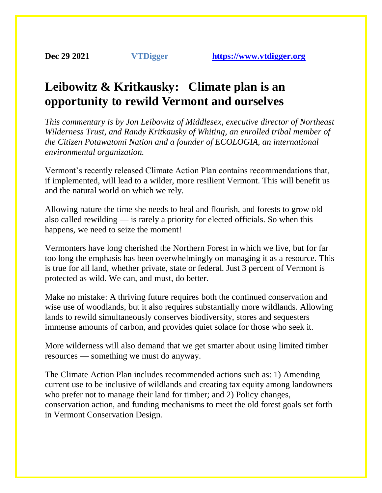## **Leibowitz & Kritkausky: Climate plan is an opportunity to rewild Vermont and ourselves**

*This commentary is by Jon Leibowitz of Middlesex, executive director of Northeast Wilderness Trust, and Randy Kritkausky of Whiting, an enrolled tribal member of the Citizen Potawatomi Nation and a founder of ECOLOGIA, an international environmental organization.*

Vermont's recently released Climate Action Plan contains recommendations that, if implemented, will lead to a wilder, more resilient Vermont. This will benefit us and the natural world on which we rely.

Allowing nature the time she needs to heal and flourish, and forests to grow old also called rewilding — is rarely a priority for elected officials. So when this happens, we need to seize the moment!

Vermonters have long cherished the Northern Forest in which we live, but for far too long the emphasis has been overwhelmingly on managing it as a resource. This is true for all land, whether private, state or federal. Just 3 percent of Vermont is protected as wild. We can, and must, do better.

Make no mistake: A thriving future requires both the continued conservation and wise use of woodlands, but it also requires substantially more wildlands. Allowing lands to rewild simultaneously conserves biodiversity, stores and sequesters immense amounts of carbon, and provides quiet solace for those who seek it.

More wilderness will also demand that we get smarter about using limited timber resources — something we must do anyway.

The Climate Action Plan includes recommended actions such as: 1) Amending current use to be inclusive of wildlands and creating tax equity among landowners who prefer not to manage their land for timber; and 2) Policy changes, conservation action, and funding mechanisms to meet the old forest goals set forth in Vermont Conservation Design.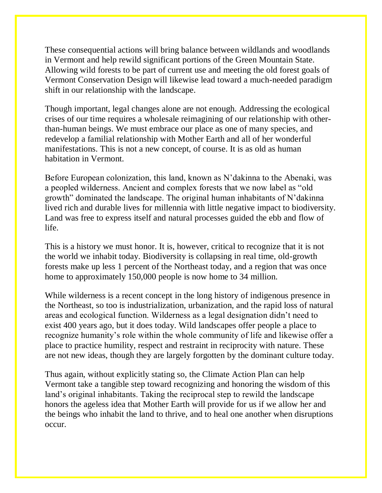These consequential actions will bring balance between wildlands and woodlands in Vermont and help rewild significant portions of the Green Mountain State. Allowing wild forests to be part of current use and meeting the old forest goals of Vermont Conservation Design will likewise lead toward a much-needed paradigm shift in our relationship with the landscape.

Though important, legal changes alone are not enough. Addressing the ecological crises of our time requires a wholesale reimagining of our relationship with otherthan-human beings. We must embrace our place as one of many species, and redevelop a familial relationship with Mother Earth and all of her wonderful manifestations. This is not a new concept, of course. It is as old as human habitation in Vermont.

Before European colonization, this land, known as N'dakinna to the Abenaki, was a peopled wilderness. Ancient and complex forests that we now label as "old growth" dominated the landscape. The original human inhabitants of N'dakinna lived rich and durable lives for millennia with little negative impact to biodiversity. Land was free to express itself and natural processes guided the ebb and flow of life.

This is a history we must honor. It is, however, critical to recognize that it is not the world we inhabit today. Biodiversity is collapsing in real time, old-growth forests make up less 1 percent of the Northeast today, and a region that was once home to approximately 150,000 people is now home to 34 million.

While wilderness is a recent concept in the long history of indigenous presence in the Northeast, so too is industrialization, urbanization, and the rapid loss of natural areas and ecological function. Wilderness as a legal designation didn't need to exist 400 years ago, but it does today. Wild landscapes offer people a place to recognize humanity's role within the whole community of life and likewise offer a place to practice humility, respect and restraint in reciprocity with nature. These are not new ideas, though they are largely forgotten by the dominant culture today.

Thus again, without explicitly stating so, the Climate Action Plan can help Vermont take a tangible step toward recognizing and honoring the wisdom of this land's original inhabitants. Taking the reciprocal step to rewild the landscape honors the ageless idea that Mother Earth will provide for us if we allow her and the beings who inhabit the land to thrive, and to heal one another when disruptions occur.